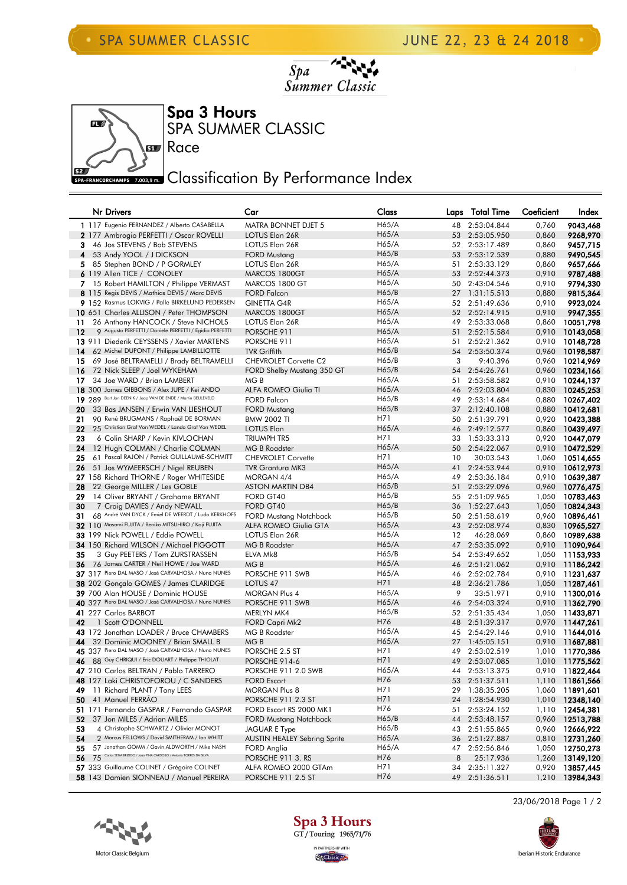





Race

## **ERN CORCHAMPS 7.003,9 m** Classification By Performance Index

|          | Nr Drivers                                                                                                   | Car                                                  | Class                    |          | Laps Total Time          | Coeficient     | Index                  |
|----------|--------------------------------------------------------------------------------------------------------------|------------------------------------------------------|--------------------------|----------|--------------------------|----------------|------------------------|
|          | 1 117 Eugenio FERNANDEZ / Alberto CASABELLA                                                                  | <b>MATRA BONNET DJET 5</b>                           | H65/A                    | 48       | 2:53:04.844              | 0,760          | 9043,468               |
|          | 2 177 Ambrogio PERFETTI / Oscar ROVELLI                                                                      | LOTUS Elan 26R                                       | H65/A                    | 53       | 2:53:05.950              | 0,860          | 9268,970               |
| 3        | 46 Jos STEVENS / Bob STEVENS                                                                                 | LOTUS Elan 26R                                       | H65/A                    | 52       | 2:53:17.489              | 0,860          | 9457,715               |
| 4        | 53 Andy YOOL / J DICKSON                                                                                     | <b>FORD Mustang</b>                                  | H65/B                    | 53       | 2:53:12.539              | 0,880          | 9490,545               |
|          | 5 85 Stephen BOND / P GORMLEY                                                                                | LOTUS Elan 26R                                       | H65/A                    | 51       | 2:53:33.129              | 0,860          | 9657,666               |
|          | 6 119 Allen TICE / CONOLEY                                                                                   | MARCOS 1800GT                                        | H65/A                    | 53       | 2:52:44.373              | 0,910          | 9787,488               |
|          | 7 15 Robert HAMILTON / Philippe VERMAST                                                                      | MARCOS 1800 GT                                       | H65/A                    | 50       | 2:43:04.546              | 0,910          | 9794,330               |
|          | 8 115 Regis DEVIS / Mathias DEVIS / Marc DEVIS                                                               | <b>FORD Falcon</b>                                   | H65/B                    |          | 27 1:31:15.513           | 0,880          | 9815,364               |
|          | 9 152 Rasmus LOKVIG / Palle BIRKELUND PEDERSEN                                                               | <b>GINETTA G4R</b>                                   | H65/A                    | 52       | 2:51:49.636              | 0,910          | 9923,024               |
|          | 10 651 Charles ALLISON / Peter THOMPSON                                                                      | MARCOS 1800GT                                        | H65/A                    | 52       | 2:52:14.915              | 0,910          | 9947,355               |
| 11       | 26 Anthony HANCOCK / Steve NICHOLS                                                                           | LOTUS Elan 26R                                       | H65/A                    | 49       | 2:53:33.068              | 0,860          | 10051,798              |
| $12 \,$  | 9 Augusto PERFETTI / Daniele PERFETTI / Egidio PERFETTI                                                      | PORSCHE 911                                          | H65/A                    | 51       | 2:52:15.584              | 0,910          | 10143,058              |
|          | 13 911 Diederik CEYSSENS / Xavier MARTENS                                                                    | PORSCHE 911                                          | H65/A                    | 51       | 2:52:21.362              | 0,910          | 10148,728              |
| 14       | 62 Michel DUPONT / Philippe LAMBILLIOTTE                                                                     | <b>TVR Griffith</b>                                  | H65/B                    | 54       | 2:53:50.374              | 0,960          | 10198,587              |
| 15       | 69 José BELTRAMELLI / Brady BELTRAMELLI                                                                      | <b>CHEVROLET Corvette C2</b>                         | H65/B                    | 3        | 9:40.396                 | 0,960          | 10214,969              |
| 16       | 72 Nick SLEEP / Joel WYKEHAM                                                                                 | FORD Shelby Mustang 350 GT                           | H65/B                    | 54       | 2:54:26.761              | 0,960          | 10234,166              |
| 17       | 34 Joe WARD / Brian LAMBERT                                                                                  | MG B                                                 | H65/A                    | 51       | 2:53:58.582              | 0,910          | 10244,137              |
|          | 18 300 James GIBBONS / Alex JUPE / Kei ANDO<br>19 289 Bart Jan DEENIK / Jaap VAN DE ENDE / Martin BEIJLEVELD | <b>ALFA ROMEO Giulia TI</b>                          | H65/A                    | 46       | 2:52:03.804              | 0,830          | 10245,253              |
|          |                                                                                                              | <b>FORD Falcon</b>                                   | H65/B                    | 49       | 2:53:14.684              | 0,880          | 10267,402              |
| 20       | 33 Bas JANSEN / Erwin VAN LIESHOUT                                                                           | <b>FORD Mustang</b>                                  | H65/B                    | 37       | 2:12:40.108              | 0,880          | 10412,681              |
| 21       | 90 René BRUGMANS / Raphaël DE BORMAN<br>25 Christian Graf Von WEDEL / Lando Graf Von WEDEL                   | <b>BMW 2002 TI</b>                                   | H71                      | 50       | 2:51:39.791              | 0,920          | 10423,388              |
| 22       |                                                                                                              | <b>LOTUS Elan</b><br><b>TRIUMPH TR5</b>              | H <sub>65/A</sub><br>H71 | 46       | 2:49:12.577              | 0,860          | 10439,497              |
| 23       | 6 Colin SHARP / Kevin KIVLOCHAN                                                                              |                                                      | H65/A                    | 33       | 1:53:33.313              | 0,920          | 10447,079              |
| 24<br>25 | 12 Hugh COLMAN / Charlie COLMAN<br>61 Pascal RAJON / Patrick GUILLAUME-SCHMITT                               | <b>MG B Roadster</b>                                 | H71                      | 50<br>10 | 2:54:22.067              | 0,910          | 10472,529<br>10514,655 |
| 26       | 51 Jos WYMEERSCH / Nigel REUBEN                                                                              | <b>CHEVROLET Corvette</b><br><b>TVR Grantura MK3</b> | H65/A                    | 41       | 30:03.543<br>2:24:53.944 | 1,060<br>0,910 | 10612,973              |
|          | 27 158 Richard THORNE / Roger WHITESIDE                                                                      | MORGAN 4/4                                           | H65/A                    | 49       | 2:53:36.184              | 0,910          | 10639,387              |
| 28       | 22 George MILLER / Les GOBLE                                                                                 | <b>ASTON MARTIN DB4</b>                              | H65/B                    | 51       | 2:53:29.096              | 0,960          | 10776,475              |
| 29       | 14 Oliver BRYANT / Grahame BRYANT                                                                            | FORD GT40                                            | H65/B                    | 55       | 2:51:09.965              | 1,050          | 10783,463              |
| 30       | 7 Craig DAVIES / Andy NEWALL                                                                                 | FORD GT40                                            | H65/B                    | 36       | 1:52:27.643              | 1,050          | 10824,343              |
| 31       | 68 André VAN DYCK / Emiel DE WEERDT / Ludo KERKHOFS                                                          | <b>FORD Mustang Notchback</b>                        | H65/B                    | 50       | 2:51:58.619              | 0,960          | 10896,461              |
|          | 32 110 Masami FUJITA / Beniko MITSUHIRO / Koji FUJITA                                                        | <b>ALFA ROMEO Giulia GTA</b>                         | H65/A                    | 43       | 2:52:08.974              | 0,830          | 10965,527              |
|          | 33 199 Nick POWELL / Eddie POWELL                                                                            | LOTUS Elan 26R                                       | H65/A                    | 12       | 46:28.069                | 0,860          | 10989,638              |
|          | <b>34</b> 150 Richard WILSON / Michael PIGGOTT                                                               | <b>MG B Roadster</b>                                 | H65/A                    | 47       | 2:53:35.092              | 0,910          | 11090,964              |
| 35       | 3 Guy PEETERS / Tom ZURSTRASSEN                                                                              | ELVA Mk8                                             | H65/B                    | 54       | 2:53:49.652              | 1,050          | 11153,933              |
| 36       | 76 James CARTER / Neil HOWE / Joe WARD                                                                       | MG <sub>B</sub>                                      | H65/A                    | 46       | 2:51:21.062              | 0,910          | 11186,242              |
|          | 37 317 Piero DAL MASO / José CARVALHOSA / Nuno NUNES                                                         | PORSCHE 911 SWB                                      | H65/A                    | 46       | 2:52:02.784              | 0,910          | 11231,637              |
|          | 38 202 Gonçalo GOMES / James CLARIDGE                                                                        | LOTUS <sub>47</sub>                                  | H71                      | 48       | 2:36:21.786              | 1,050          | 11287,461              |
|          | 39 700 Alan HOUSE / Dominic HOUSE                                                                            | <b>MORGAN Plus 4</b>                                 | H65/A                    | 9        | 33:51.971                | 0,910          | 11300,016              |
|          | 40 327 Piero DAL MASO / José CARVALHOSA / Nuno NUNES                                                         | PORSCHE 911 SWB                                      | H <sub>65/A</sub>        | 46       | 2:54:03.324              | 0,910          | 11362,790              |
|          | 41 227 Carlos BARBOT                                                                                         | MERLYN MK4                                           | H65/B                    | 52       | 2:51:35.434              | 1,050          | 11433,871              |
| 42       | 1 Scott O'DONNELL                                                                                            | <b>FORD Capri Mk2</b>                                | H76                      | 48       | 2:51:39.317              | 0,970          | 11447,261              |
|          | 43 172 Jonathan LOADER / Bruce CHAMBERS                                                                      | <b>MG B Roadster</b>                                 | H65/A                    |          | 45 2:54:29.146           | 0,910          | 11644,016              |
| 44       | 32 Dominic MOONEY / Brian SMALL B                                                                            | MG <sub>B</sub>                                      | H <sub>65/A</sub>        |          | 27 1:45:05.151           | 0,910          | 11687,881              |
|          | 45 337 Piero DAL MASO / José CARVALHOSA / Nuno NUNES                                                         | PORSCHE 2.5 ST                                       | H71                      | 49       | 2:53:02.519              | 1,010          | 11770,386              |
| 46       | 88 Guy CHRIQUI / Eric DOUART / Philippe THIOLAT                                                              | PORSCHE 914-6                                        | H71                      |          | 49 2:53:07.085           | 1,010          | 11775,562              |
|          | 47 210 Carlos BELTRAN / Pablo TARRERO                                                                        | PORSCHE 911 2.0 SWB                                  | H65/A                    |          | 44 2:53:13.375           |                | 0,910 11822,464        |
|          | 48 127 Laki CHRISTOFOROU / C SANDERS                                                                         | <b>FORD Escort</b>                                   | H76                      |          | 53 2:51:37.511           |                | 1,110 11861,566        |
| 49       | 11 Richard PLANT / Tony LEES                                                                                 | <b>MORGAN Plus 8</b>                                 | H71                      |          | 29 1:38:35.205           |                | 1,060 11891,601        |
| 50       | 41 Manuel FERRÃO                                                                                             | PORSCHE 911 2.3 ST                                   | H71                      | 24       | 1:28:54.930              | 1,010          | 12348,140              |
|          | 51 171 Fernando GASPAR / Fernando GASPAR                                                                     | FORD Escort RS 2000 MK1                              | H76                      | 51       | 2:53:24.152              |                | 1,110 12454,381        |
| 52       | 37 Jon MILES / Adrian MILES                                                                                  | <b>FORD Mustang Notchback</b>                        | H65/B                    | 44       | 2:53:48.157              |                | 0,960 12513,788        |
| 53       | 4 Christophe SCHWARTZ / Olivier MONOT                                                                        | JAGUAR E Type                                        | H65/B                    | 43       | 2:51:55.865              |                | 0,960 12666,922        |
| 54       | 2 Marcus FELLOWS / David SMITHERAM / Ian WHITT                                                               | AUSTIN HEALEY Sebring Sprite                         | H65/A                    | 36       | 2:51:27.887              |                | 0,810 12731,260        |
| 55       | 57 Jonathan GOMM / Gavin ALDWORTH / Mike NASH                                                                | FORD Anglia                                          | H65/A                    | 47       | 2:52:56.846              | 1,050          | 12750,273              |
|          | 56 75 Carlos SENA BRIZIDO / Jogo PINA CARDOSO / Antonio TORRES DA SILVA                                      | PORSCHE 911 3. RS                                    | H76                      | 8        | 25:17.936                | 1,260          | 13149,120              |
|          | 57 333 Guillaume COLINET / Grégoire COLINET                                                                  | ALFA ROMEO 2000 GTAm                                 | H71                      | 34       | 2:35:11.327              | 0,920          | 13857,445              |
|          | 58 143 Damien SIONNEAU / Manuel PEREIRA                                                                      | PORSCHE 911 2.5 ST                                   | H76                      |          | 49 2:51:36.511           | 1,210          | 13984,343              |





**St** Classic <sub>Plas</sub>